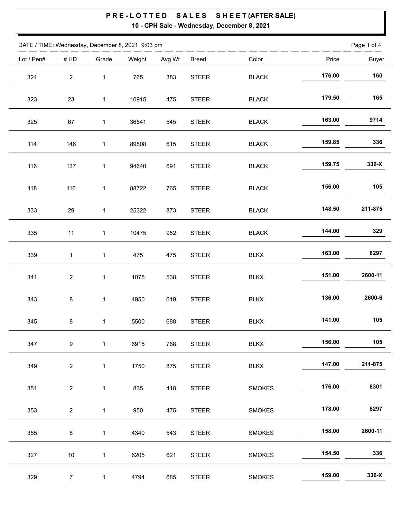| DATE / TIME: Wednesday, December 8, 2021 9:03 pm |                |              |        |        |              |                               |        | Page 1 of 4  |
|--------------------------------------------------|----------------|--------------|--------|--------|--------------|-------------------------------|--------|--------------|
| Lot / Pen#                                       | #HD            | Grade        | Weight | Avg Wt | <b>Breed</b> | Color                         | Price  | <b>Buyer</b> |
| 321                                              | $\overline{c}$ | $\mathbf{1}$ | 765    | 383    | <b>STEER</b> | <b>BLACK</b>                  | 176.00 | 160          |
| 323                                              | 23             | $\mathbf 1$  | 10915  | 475    | STEER        | <b>BLACK</b>                  | 179.50 | 165          |
| 325                                              | 67             | $\mathbf{1}$ | 36541  | 545    | <b>STEER</b> | <b>BLACK</b>                  | 163.00 | 9714         |
| 114                                              | 146            | $\mathbf{1}$ | 89808  | 615    | <b>STEER</b> | $\ensuremath{\mathsf{BLACK}}$ | 159.85 | 336          |
| 116                                              | 137            | $\mathbf{1}$ | 94640  | 691    | <b>STEER</b> | <b>BLACK</b>                  | 159.75 | 336-X        |
| 118                                              | 116            | $\mathbf{1}$ | 88722  | 765    | <b>STEER</b> | <b>BLACK</b>                  | 156.00 | 105          |
| 333                                              | 29             | $\mathbf 1$  | 25322  | 873    | <b>STEER</b> | <b>BLACK</b>                  | 148.50 | 211-875      |
| 335                                              | 11             | $\mathbf{1}$ | 10475  | 952    | <b>STEER</b> | <b>BLACK</b>                  | 144.00 | 329          |
| 339                                              | $\mathbf{1}$   | $\mathbf 1$  | 475    | 475    | <b>STEER</b> | <b>BLKX</b>                   | 163.00 | 8297         |
| 341                                              | $\overline{c}$ | $\mathbf{1}$ | 1075   | 538    | <b>STEER</b> | <b>BLKX</b>                   | 151.00 | 2600-11      |
| 343                                              | 8              | $\mathbf{1}$ | 4950   | 619    | <b>STEER</b> | <b>BLKX</b>                   | 136.00 | 2600-6       |
| 345                                              | 8              | $\mathbf{1}$ | 5500   | 688    | <b>STEER</b> | <b>BLKX</b>                   | 141.00 | 105          |
| 347                                              | 9              | $\mathbf{1}$ | 6915   | 768    | <b>STEER</b> | <b>BLKX</b>                   | 156.00 | 105          |
| 349                                              | $\overline{2}$ | $\mathbf{1}$ | 1750   | 875    | <b>STEER</b> | <b>BLKX</b>                   | 147.00 | 211-875      |
| 351                                              | $\overline{a}$ | $\mathbf 1$  | 835    | 418    | <b>STEER</b> | <b>SMOKES</b>                 | 176.00 | 8301         |
| 353                                              | $\overline{a}$ | $\mathbf 1$  | 950    | 475    | <b>STEER</b> | <b>SMOKES</b>                 | 178.00 | 8297         |
| 355                                              | 8              | $\mathbf{1}$ | 4340   | 543    | <b>STEER</b> | <b>SMOKES</b>                 | 158.00 | 2600-11      |
| 327                                              | 10             | $\mathbf 1$  | 6205   | 621    | <b>STEER</b> | <b>SMOKES</b>                 | 154.50 | 336          |
| 329                                              | $\overline{7}$ | $\mathbf 1$  | 4794   | 685    | <b>STEER</b> | <b>SMOKES</b>                 | 159.00 | 336-X        |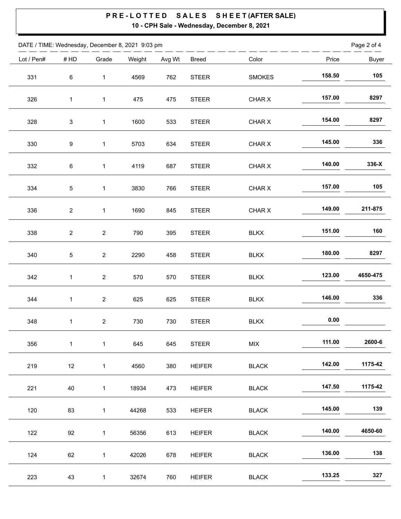| DATE / TIME: Wednesday, December 8, 2021 9:03 pm |                         |                         |        |        |               |               |        | Page 2 of 4  |
|--------------------------------------------------|-------------------------|-------------------------|--------|--------|---------------|---------------|--------|--------------|
| Lot / Pen#                                       | #HD                     | Grade                   | Weight | Avg Wt | <b>Breed</b>  | Color         | Price  | <b>Buyer</b> |
| 331                                              | 6                       | $\mathbf{1}$            | 4569   | 762    | <b>STEER</b>  | <b>SMOKES</b> | 158.50 | 105          |
| 326                                              | $\mathbf{1}$            | $\mathbf 1$             | 475    | 475    | <b>STEER</b>  | CHAR X        | 157.00 | 8297         |
| 328                                              | 3                       | $\mathbf 1$             | 1600   | 533    | <b>STEER</b>  | CHAR X        | 154.00 | 8297         |
| 330                                              | 9                       | $\mathbf{1}$            | 5703   | 634    | <b>STEER</b>  | CHAR X        | 145.00 | 336          |
| 332                                              | 6                       | $\mathbf{1}$            | 4119   | 687    | <b>STEER</b>  | CHAR X        | 140.00 | 336-X        |
| 334                                              | 5                       | $\mathbf 1$             | 3830   | 766    | <b>STEER</b>  | CHAR X        | 157.00 | 105          |
| 336                                              | $\overline{\mathbf{c}}$ | $\mathbf 1$             | 1690   | 845    | <b>STEER</b>  | CHAR X        | 149.00 | 211-875      |
| 338                                              | $\overline{c}$          | $\sqrt{2}$              | 790    | 395    | <b>STEER</b>  | <b>BLKX</b>   | 151.00 | 160          |
| 340                                              | 5                       | $\overline{\mathbf{c}}$ | 2290   | 458    | <b>STEER</b>  | <b>BLKX</b>   | 180.00 | 8297         |
| 342                                              | $\mathbf{1}$            | $\overline{\mathbf{c}}$ | 570    | 570    | <b>STEER</b>  | <b>BLKX</b>   | 123.00 | 4650-475     |
| 344                                              | $\mathbf{1}$            | $\overline{2}$          | 625    | 625    | <b>STEER</b>  | <b>BLKX</b>   | 146.00 | 336          |
| 348                                              | $\mathbf 1$             | $\overline{c}$          | 730    | 730    | <b>STEER</b>  | <b>BLKX</b>   | 0.00   |              |
| 356                                              | $\mathbf{1}$            | $\mathbf{1}$            | 645    | 645    | <b>STEER</b>  | MIX           | 111.00 | 2600-6       |
| 219                                              | 12                      | $\mathbf 1$             | 4560   | 380    | <b>HEIFER</b> | <b>BLACK</b>  | 142.00 | 1175-42      |
| 221                                              | 40                      | $\mathbf 1$             | 18934  | 473    | <b>HEIFER</b> | <b>BLACK</b>  | 147.50 | 1175-42      |
| 120                                              | 83                      | $\mathbf{1}$            | 44268  | 533    | <b>HEIFER</b> | <b>BLACK</b>  | 145.00 | 139          |
| 122                                              | 92                      | $\mathbf{1}$            | 56356  | 613    | <b>HEIFER</b> | <b>BLACK</b>  | 140.00 | 4650-60      |
| 124                                              | 62                      | $\mathbf{1}$            | 42026  | 678    | <b>HEIFER</b> | <b>BLACK</b>  | 136.00 | 138          |
| 223                                              | 43                      | $\mathbf{1}$            | 32674  | 760    | HEIFER        | <b>BLACK</b>  | 133.25 | 327          |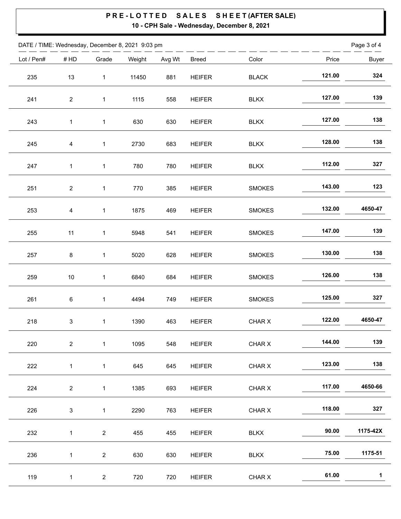| DATE / TIME: Wednesday, December 8, 2021 9:03 pm |                |                |        |        |               |               |        | Page 3 of 4  |
|--------------------------------------------------|----------------|----------------|--------|--------|---------------|---------------|--------|--------------|
| Lot / Pen#                                       | #HD            | Grade          | Weight | Avg Wt | <b>Breed</b>  | Color         | Price  | <b>Buyer</b> |
| 235                                              | 13             | $\mathbf{1}$   | 11450  | 881    | <b>HEIFER</b> | <b>BLACK</b>  | 121.00 | 324          |
| 241                                              | $\overline{c}$ | $\mathbf 1$    | 1115   | 558    | <b>HEIFER</b> | <b>BLKX</b>   | 127.00 | 139          |
| 243                                              | $\mathbf{1}$   | $\mathbf{1}$   | 630    | 630    | <b>HEIFER</b> | <b>BLKX</b>   | 127.00 | 138          |
| 245                                              | 4              | $\mathbf{1}$   | 2730   | 683    | <b>HEIFER</b> | <b>BLKX</b>   | 128.00 | 138          |
| 247                                              | 1              | $\mathbf 1$    | 780    | 780    | <b>HEIFER</b> | <b>BLKX</b>   | 112.00 | 327          |
| 251                                              | $\overline{a}$ | $\mathbf{1}$   | 770    | 385    | <b>HEIFER</b> | <b>SMOKES</b> | 143.00 | 123          |
| 253                                              | 4              | $\mathbf 1$    | 1875   | 469    | <b>HEIFER</b> | <b>SMOKES</b> | 132.00 | 4650-47      |
| 255                                              | 11             | $\mathbf{1}$   | 5948   | 541    | <b>HEIFER</b> | <b>SMOKES</b> | 147.00 | 139          |
| 257                                              | 8              | $\mathbf 1$    | 5020   | 628    | <b>HEIFER</b> | <b>SMOKES</b> | 130.00 | 138          |
| 259                                              | $10\,$         | $\mathbf{1}$   | 6840   | 684    | <b>HEIFER</b> | <b>SMOKES</b> | 126.00 | 138          |
| 261                                              | 6              | $\mathbf 1$    | 4494   | 749    | <b>HEIFER</b> | <b>SMOKES</b> | 125.00 | 327          |
| 218                                              | 3              | $\mathbf{1}$   | 1390   | 463    | <b>HEIFER</b> | CHAR X        | 122.00 | 4650-47      |
| 220                                              | $\overline{2}$ | $\mathbf{1}$   | 1095   | 548    | <b>HEIFER</b> | CHAR X        | 144.00 | 139          |
| 222                                              | $\mathbf{1}$   | $\mathbf{1}$   | 645    | 645    | <b>HEIFER</b> | CHAR X        | 123.00 | 138          |
| 224                                              | $\overline{c}$ | $\mathbf 1$    | 1385   | 693    | <b>HEIFER</b> | CHAR X        | 117.00 | 4650-66      |
| 226                                              | $\mathbf{3}$   | $\mathbf{1}$   | 2290   | 763    | <b>HEIFER</b> | CHAR X        | 118.00 | 327          |
| 232                                              | $\mathbf 1$    | $\overline{2}$ | 455    | 455    | <b>HEIFER</b> | <b>BLKX</b>   | 90.00  | 1175-42X     |
| 236                                              | $\mathbf{1}$   | $\overline{c}$ | 630    | 630    | <b>HEIFER</b> | <b>BLKX</b>   | 75.00  | 1175-51      |
| 119                                              | $\mathbf{1}$   | $\overline{2}$ | 720    | 720    | <b>HEIFER</b> | CHAR X        | 61.00  | 1            |